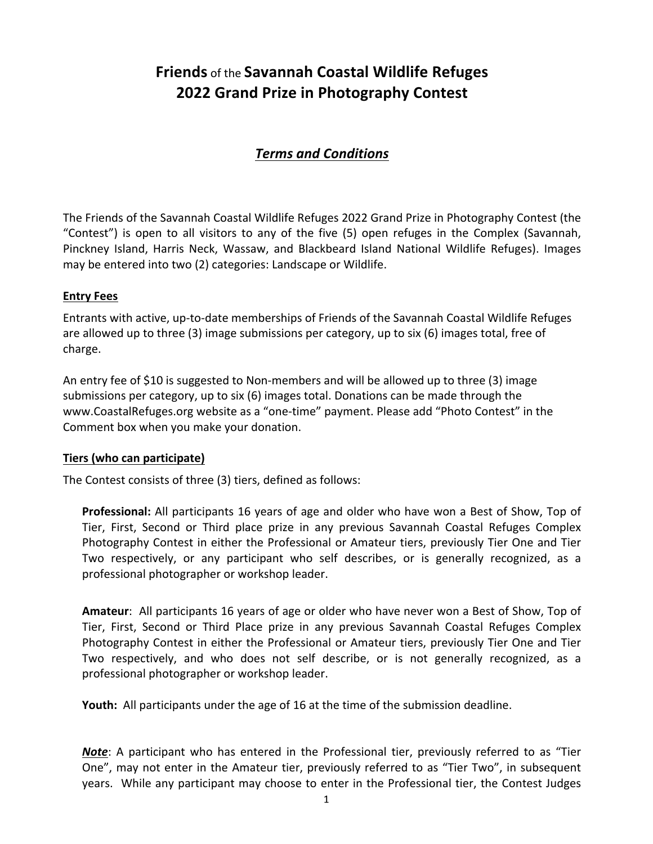# **Friends** of the Savannah Coastal Wildlife Refuges **2022 Grand Prize in Photography Contest**

# *Terms and Conditions*

The Friends of the Savannah Coastal Wildlife Refuges 2022 Grand Prize in Photography Contest (the "Contest") is open to all visitors to any of the five (5) open refuges in the Complex (Savannah, Pinckney Island, Harris Neck, Wassaw, and Blackbeard Island National Wildlife Refuges). Images may be entered into two (2) categories: Landscape or Wildlife.

### **Entry Fees**

Entrants with active, up-to-date memberships of Friends of the Savannah Coastal Wildlife Refuges are allowed up to three (3) image submissions per category, up to six (6) images total, free of charge. 

An entry fee of \$10 is suggested to Non-members and will be allowed up to three (3) image submissions per category, up to six  $(6)$  images total. Donations can be made through the www.CoastalRefuges.org website as a "one-time" payment. Please add "Photo Contest" in the Comment box when you make your donation.

#### **Tiers (who can participate)**

The Contest consists of three (3) tiers, defined as follows:

**Professional:** All participants 16 years of age and older who have won a Best of Show, Top of Tier, First, Second or Third place prize in any previous Savannah Coastal Refuges Complex Photography Contest in either the Professional or Amateur tiers, previously Tier One and Tier Two respectively, or any participant who self describes, or is generally recognized, as a professional photographer or workshop leader.

**Amateur**: All participants 16 years of age or older who have never won a Best of Show, Top of Tier, First, Second or Third Place prize in any previous Savannah Coastal Refuges Complex Photography Contest in either the Professional or Amateur tiers, previously Tier One and Tier Two respectively, and who does not self describe, or is not generally recognized, as a professional photographer or workshop leader.

**Youth:** All participants under the age of 16 at the time of the submission deadline.

*Note*: A participant who has entered in the Professional tier, previously referred to as "Tier One", may not enter in the Amateur tier, previously referred to as "Tier Two", in subsequent years. While any participant may choose to enter in the Professional tier, the Contest Judges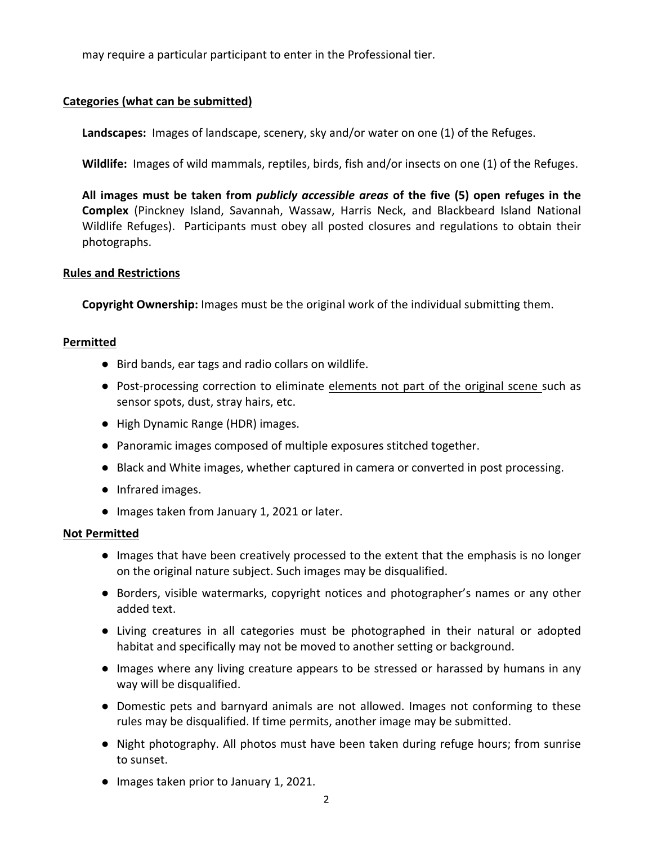may require a particular participant to enter in the Professional tier.

## **Categories** (what can be submitted)

**Landscapes:** Images of landscape, scenery, sky and/or water on one (1) of the Refuges.

Wildlife: Images of wild mammals, reptiles, birds, fish and/or insects on one (1) of the Refuges.

All images must be taken from *publicly accessible areas* of the five (5) open refuges in the **Complex** (Pinckney Island, Savannah, Wassaw, Harris Neck, and Blackbeard Island National Wildlife Refuges). Participants must obey all posted closures and regulations to obtain their photographs.

#### **Rules and Restrictions**

**Copyright Ownership:** Images must be the original work of the individual submitting them.

#### **Permitted**

- Bird bands, ear tags and radio collars on wildlife.
- Post-processing correction to eliminate elements not part of the original scene such as sensor spots, dust, stray hairs, etc.
- High Dynamic Range (HDR) images.
- Panoramic images composed of multiple exposures stitched together.
- Black and White images, whether captured in camera or converted in post processing.
- Infrared images.
- Images taken from January 1, 2021 or later.

#### **Not Permitted**

- Images that have been creatively processed to the extent that the emphasis is no longer on the original nature subject. Such images may be disqualified.
- Borders, visible watermarks, copyright notices and photographer's names or any other added text.
- Living creatures in all categories must be photographed in their natural or adopted habitat and specifically may not be moved to another setting or background.
- Images where any living creature appears to be stressed or harassed by humans in any way will be disqualified.
- Domestic pets and barnyard animals are not allowed. Images not conforming to these rules may be disqualified. If time permits, another image may be submitted.
- Night photography. All photos must have been taken during refuge hours; from sunrise to sunset.
- Images taken prior to January 1, 2021.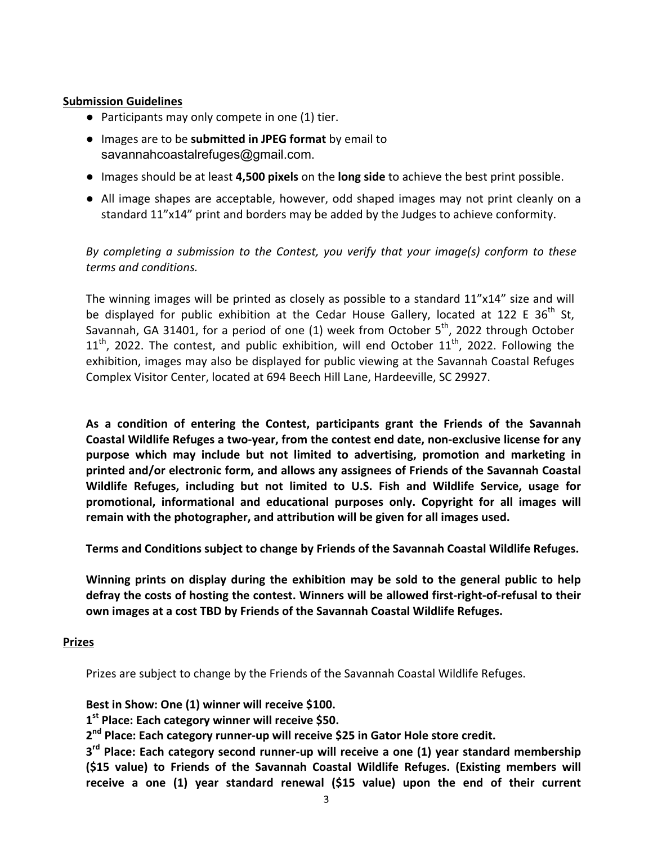#### **Submission Guidelines**

- $\bullet$  Participants may only compete in one (1) tier.
- **•** Images are to be submitted in JPEG format by email to savannahcoastalrefuges@gmail.com.
- Images should be at least 4,500 pixels on the **long side** to achieve the best print possible.
- All image shapes are acceptable, however, odd shaped images may not print cleanly on a standard 11"x14" print and borders may be added by the Judges to achieve conformity.

*By* completing a submission to the Contest, you verify that your *image(s)* conform to these *terms and conditions.*

The winning images will be printed as closely as possible to a standard 11"x14" size and will be displayed for public exhibition at the Cedar House Gallery, located at 122 E 36<sup>th</sup> St, Savannah, GA 31401, for a period of one (1) week from October  $5<sup>th</sup>$ , 2022 through October  $11<sup>th</sup>$ , 2022. The contest, and public exhibition, will end October  $11<sup>th</sup>$ , 2022. Following the exhibition, images may also be displayed for public viewing at the Savannah Coastal Refuges Complex Visitor Center, located at 694 Beech Hill Lane, Hardeeville, SC 29927.

As a condition of entering the Contest, participants grant the Friends of the Savannah Coastal Wildlife Refuges a two-year, from the contest end date, non-exclusive license for any **purpose which may include but not limited to advertising, promotion and marketing in**  printed and/or electronic form, and allows any assignees of Friends of the Savannah Coastal Wildlife Refuges, including but not limited to U.S. Fish and Wildlife Service, usage for **promotional, informational and educational purposes only. Copyright for all images will** remain with the photographer, and attribution will be given for all images used.

**Terms and Conditions subject to change by Friends of the Savannah Coastal Wildlife Refuges.** 

Winning prints on display during the exhibition may be sold to the general public to help defray the costs of hosting the contest. Winners will be allowed first-right-of-refusal to their **own images at a cost TBD by Friends of the Savannah Coastal Wildlife Refuges.** 

#### **Prizes**

Prizes are subject to change by the Friends of the Savannah Coastal Wildlife Refuges.

Best in Show: One (1) winner will receive \$100.

1<sup>st</sup> Place: Each category winner will receive \$50.

2<sup>nd</sup> Place: Each category runner-up will receive \$25 in Gator Hole store credit.

**3<sup>rd</sup> Place: Each category second runner-up will receive a one (1) year standard membership** (\$15 value) to Friends of the Savannah Coastal Wildlife Refuges. (Existing members will receive a one (1) year standard renewal (\$15 value) upon the end of their current